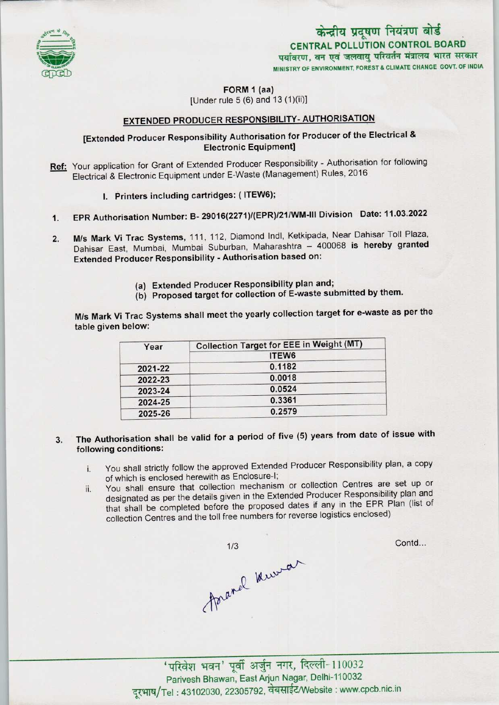

# केन्द्रीय प्रदूषण नियंत्रण बोर्ड CENTRAL POLLUTION CONTROL BOARD<br>पर्यावरण, वन एवं जलवायु परिवर्तन मंत्रालय भारत सरकार MINISTRY OF ENVIRONMENT, FOREST & CLIMATE CHANGE GOVT. OF INDIA

FORM 1 (aa)

[Under rule  $5(6)$  and  $13(1)(ii)$ ]

## EXTENDED PRODUCER RESPONSIBILITY- AUTHORISATION

## [Extended Producer Responsibility Authorisation for Producer of the Electrical & Electronic Equipment]

- Ref: Your application for Grant of Extended Producer Responsibility Authorisation for following Electrical & Electronic Equipment under E-Waste (Management) Rules, 2016
	- I. Printers including cartridges: (ITEW6);
- 1.EPR Authorisation Number: B- 29016(2271)/(EPR)/21/WM-lll Division Date: 11.03.2022
- 2. M/s Mark Vi Trac Systems, 111, 112, Diamond Indl, Ketkipada, Near Dahisar Toll Plaza, Dahisar East, Mumbai, Mumbai Suburban, Maharashtra - 400068 is hereby granted Extended Producer Responsibility - Authorisation based on:
	- (a) Extended Producer Responsibility plan and;
	- (b) Proposed target for collection of E-waste submitted by them.

M/s Mark Vi Trac Systems shall meet the yearly collection target for e-waste as per the table given below:

| Year    | <b>Collection Target for EEE in Weight (MT)</b> |
|---------|-------------------------------------------------|
|         | ITEW <sub>6</sub>                               |
| 2021-22 | 0.1182                                          |
| 2022-23 | 0.0018                                          |
| 2023-24 | 0.0524                                          |
| 2024-25 | 0.3361                                          |
| 2025-26 | 0.2579                                          |

- The Authorisation shall be valid for a period of five (5) years from date of issue with  $3.$ following conditions:
	- i. You shall strictly follow the approved Extended Producer Responsibility plan, a copy of which is enclosed herewith as Enclosure-l;
	- ii. You shall ensure that collection mechanism or collection Centres are set up or designated as per the details given in the Extended Producer Responsibility plan and that shall be completed before the proposed dates if any in the EPR Plan (list of collection Centres and the toll free numbers for reverse logistics enclosed)



Contd...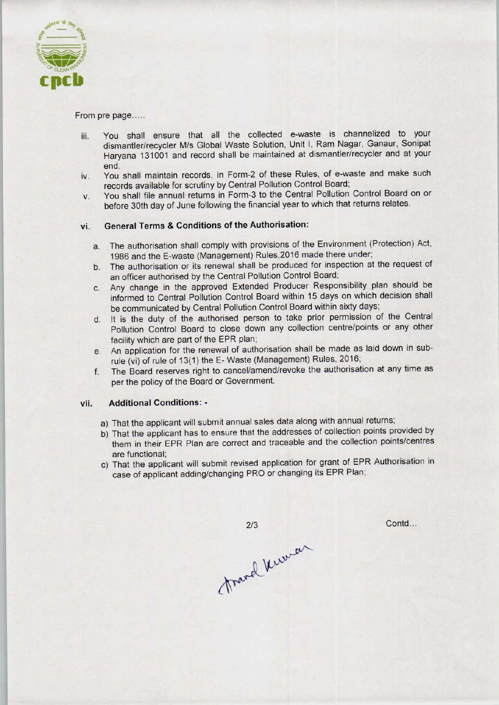

From pre page.....

- iii. You shall ensure that all the collected e-waste is channelized to your dismantler/recycler M/s Global Waste Solution, Unit I, Ram Nagar, Ganaur, Sonipat Haryana 131001 and record shall be maintained at dismantler/recycler and at your end.
- iv. You shall maintain records, in Form-2 of these Rules, of e-waste and make such records available for scrutiny by Central Pollution Control Board;
- v. You shall file annual returns in Form-3 to the Central Pollution Control Board on or before 30th day of June following the financial year to which that returns relates.

#### vi. General Terms & Conditions of the Authorisation:

- a. The authorisation shall comply with provisions of the Environment (Protection) Act, 1986 and the E-waste (Management) Rules,2016 made there under;
- b.The authorisation or its renewal shall be produced for inspection at the request of an officer authorised by the Central Pollution Control Board;
- c.Any change in the approved Extended Producer Responsibility plan should be informed to Central Pollution Control Board within 15 days on which decision shall be communicated by Central Pollution Control Board within sixty days;
- d. It is the duty of the authorised person to take prior permission of the Central Pollution Control Board to close down any collection centre/points or any other facility which are part of the EPR plan;
- e.An application for the renewal of authorisation shall be made aslaid down in subrule (vi) of rule of 13(1) the E- Waste (Management) Rules, 2016;
- f. The Board reserves right to cancel/amend/revoke the authorisation at any time as per the policy of the Board or Government.

#### vii. Additional Conditions: -

- a) That the applicant will submit annual sales data along with annual returns;
- b)That the applicant has to ensure that the addresses of collection points provided by them in their EPR Plan are correct and traceable and the collection points/centres are functional;
- c) That the applicant will submit revised application for grant of EPR Authorisation in case of applicant adding/changing PRO or changing its EPR Plan;

travel kurran

 $2/3$ 

Contd...